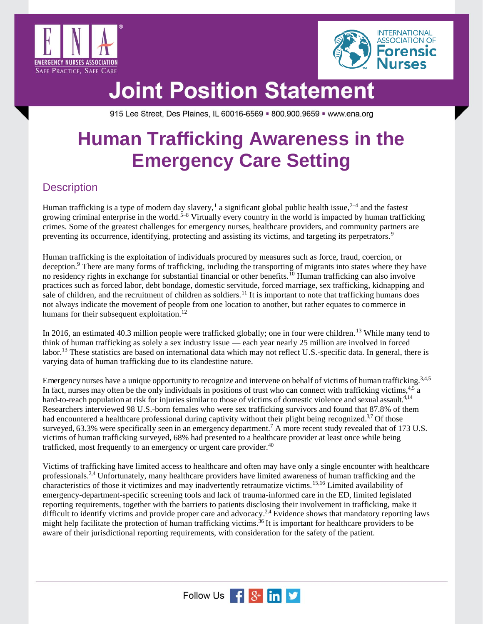



915 Lee Street, Des Plaines, IL 60016-6569 = 800.900.9659 = www.ena.org

### **Human Trafficking Awareness in the Emergency Care Setting**

#### **Description**

Human trafficking is a type of modern day slavery,<sup>1</sup> a significant global public health issue,<sup>2-4</sup> and the fastest growing criminal enterprise in the world.<sup>5–8</sup> Virtually every country in the world is impacted by human trafficking crimes. Some of the greatest challenges for emergency nurses, healthcare providers, and community partners are preventing its occurrence, identifying, protecting and assisting its victims, and targeting its perpetrators.<sup>9</sup>

Human trafficking is the exploitation of individuals procured by measures such as force, fraud, coercion, or deception.<sup>9</sup> There are many forms of trafficking, including the transporting of migrants into states where they have no residency rights in exchange for substantial financial or other benefits.<sup>10</sup> Human trafficking can also involve practices such as forced labor, debt bondage, domestic servitude, forced marriage, sex trafficking, kidnapping and sale of children, and the recruitment of children as soldiers.<sup>11</sup> It is important to note that trafficking humans does not always indicate the movement of people from one location to another, but rather equates to commerce in humans for their subsequent exploitation.<sup>12</sup>

In 2016, an estimated 40.3 million people were trafficked globally; one in four were children.<sup>13</sup> While many tend to think of human trafficking as solely a sex industry issue — each year nearly 25 million are involved in forced labor.<sup>13</sup> These statistics are based on international data which may not reflect U.S.-specific data. In general, there is varying data of human trafficking due to its clandestine nature.

Emergency nurses have a unique opportunity to recognize and intervene on behalf of victims of human trafficking.<sup>3,4,5</sup> In fact, nurses may often be the only individuals in positions of trust who can connect with trafficking victims,  $4.5 a$ hard-to-reach population at risk for injuries similar to those of victims of domestic violence and sexual assault.<sup>4,14</sup> Researchers interviewed 98 U.S.-born females who were sex trafficking survivors and found that 87.8% of them had encountered a healthcare professional during captivity without their plight being recognized.<sup>3,7</sup> Of those surveyed, 63.3% were specifically seen in an emergency department.<sup>7</sup> A more recent study revealed that of 173 U.S. victims of human trafficking surveyed, 68% had presented to a healthcare provider at least once while being trafficked, most frequently to an emergency or urgent care provider.<sup>40</sup>

Victims of trafficking have limited access to healthcare and often may have only a single encounter with healthcare professionals.<sup>2,4</sup> Unfortunately, many healthcare providers have limited awareness of human trafficking and the characteristics of those it victimizes and may inadvertently retraumatize victims.15,16 Limited availability of emergency-department-specific screening tools and lack of trauma-informed care in the ED, limited legislated reporting requirements, together with the barriers to patients disclosing their involvement in trafficking, make it difficult to identify victims and provide proper care and advocacy.<sup>2,4</sup> Evidence shows that mandatory reporting laws might help facilitate the protection of human trafficking victims.<sup>36</sup> It is important for healthcare providers to be aware of their jurisdictional reporting requirements, with consideration for the safety of the patient.

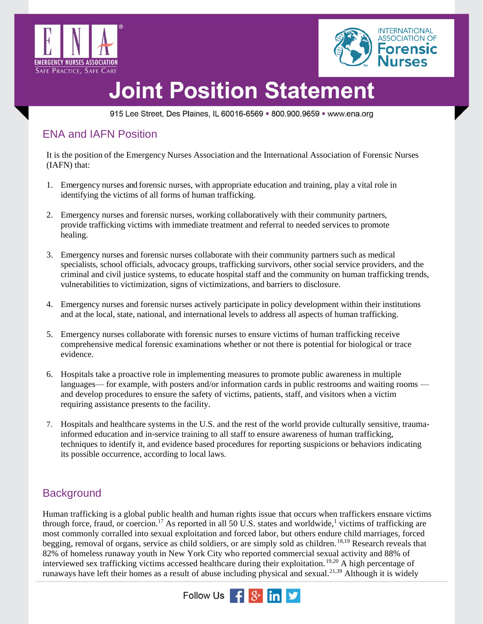



915 Lee Street, Des Plaines, IL 60016-6569 = 800.900.9659 = www.ena.org

#### ENA and IAFN Position

It is the position of the Emergency Nurses Association and the International Association of Forensic Nurses (IAFN) that:

- 1. Emergency nurses and forensic nurses, with appropriate education and training, play a vital role in identifying the victims of all forms of human trafficking.
- 2. Emergency nurses and forensic nurses, working collaboratively with their community partners, provide trafficking victims with immediate treatment and referral to needed services to promote healing.
- 3. Emergency nurses and forensic nurses collaborate with their community partners such as medical specialists, school officials, advocacy groups, trafficking survivors, other social service providers, and the criminal and civil justice systems, to educate hospital staff and the community on human trafficking trends, vulnerabilities to victimization, signs of victimizations, and barriers to disclosure.
- 4. Emergency nurses and forensic nurses actively participate in policy development within their institutions and at the local, state, national, and international levels to address all aspects of human trafficking.
- 5. Emergency nurses collaborate with forensic nurses to ensure victims of human trafficking receive comprehensive medical forensic examinations whether or not there is potential for biological or trace evidence.
- 6. Hospitals take a proactive role in implementing measures to promote public awareness in multiple languages— for example, with posters and/or information cards in public restrooms and waiting rooms and develop procedures to ensure the safety of victims, patients, staff, and visitors when a victim requiring assistance presents to the facility.
- 7. Hospitals and healthcare systems in the U.S. and the rest of the world provide culturally sensitive, traumainformed education and in-service training to all staff to ensure awareness of human trafficking, techniques to identify it, and evidence based procedures for reporting suspicions or behaviors indicating its possible occurrence, according to local laws.

### **Background**

Human trafficking is a global public health and human rights issue that occurs when traffickers ensnare victims through force, fraud, or coercion.<sup>17</sup> As reported in all 50 U.S. states and worldwide,<sup>1</sup> victims of trafficking are most commonly corralled into sexual exploitation and forced labor, but others endure child marriages, forced begging, removal of organs, service as child soldiers, or are simply sold as children.18,19 Research reveals that 82% of homeless runaway youth in New York City who reported commercial sexual activity and 88% of interviewed sex trafficking victims accessed healthcare during their exploitation. 19,20 A high percentage of runaways have left their homes as a result of abuse including physical and sexual.<sup>21,39</sup> Although it is widely

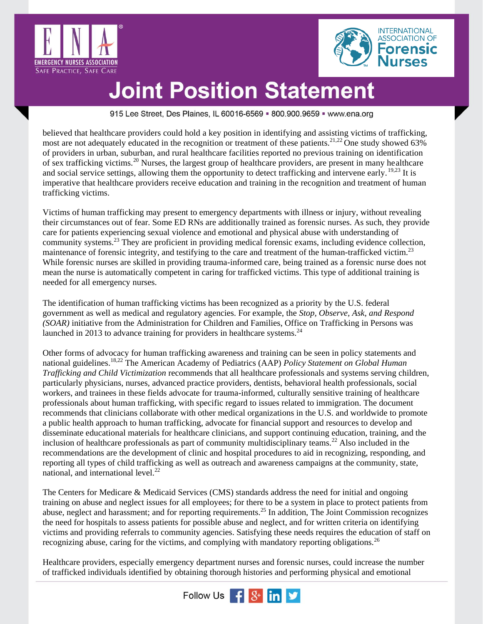



915 Lee Street, Des Plaines, IL 60016-6569 = 800.900.9659 = www.ena.org

believed that healthcare providers could hold a key position in identifying and assisting victims of trafficking, most are not adequately educated in the recognition or treatment of these patients.<sup>21,22</sup> One study showed 63% of providers in urban, suburban, and rural healthcare facilities reported no previous training on identification of sex trafficking victims.<sup>20</sup> Nurses, the largest group of healthcare providers, are present in many healthcare and social service settings, allowing them the opportunity to detect trafficking and intervene early. <sup>19,23</sup> It is imperative that healthcare providers receive education and training in the recognition and treatment of human trafficking victims.

Victims of human trafficking may present to emergency departments with illness or injury, without revealing their circumstances out of fear. Some ED RNs are additionally trained as forensic nurses. As such, they provide care for patients experiencing sexual violence and emotional and physical abuse with understanding of community systems.<sup>23</sup> They are proficient in providing medical forensic exams, including evidence collection, maintenance of forensic integrity, and testifying to the care and treatment of the human-trafficked victim.<sup>23</sup> While forensic nurses are skilled in providing trauma-informed care, being trained as a forensic nurse does not mean the nurse is automatically competent in caring for trafficked victims. This type of additional training is needed for all emergency nurses.

The identification of human trafficking victims has been recognized as a priority by the U.S. federal government as well as medical and regulatory agencies. For example, the *Stop, Observe, Ask, and Respond (SOAR)* initiative from the Administration for Children and Families, Office on Trafficking in Persons was launched in 2013 to advance training for providers in healthcare systems.<sup>24</sup>

Other forms of advocacy for human trafficking awareness and training can be seen in policy statements and national guidelines.18,22 The American Academy of Pediatrics (AAP) *Policy Statement on Global Human Trafficking and Child Victimization* recommends that all healthcare professionals and systems serving children, particularly physicians, nurses, advanced practice providers, dentists, behavioral health professionals, social workers, and trainees in these fields advocate for trauma-informed, culturally sensitive training of healthcare professionals about human trafficking, with specific regard to issues related to immigration. The document recommends that clinicians collaborate with other medical organizations in the U.S. and worldwide to promote a public health approach to human trafficking, advocate for financial support and resources to develop and disseminate educational materials for healthcare clinicians, and support continuing education, training, and the inclusion of healthcare professionals as part of community multidisciplinary teams.<sup>22</sup> Also included in the recommendations are the development of clinic and hospital procedures to aid in recognizing, responding, and reporting all types of child trafficking as well as outreach and awareness campaigns at the community, state, national, and international level.<sup>22</sup>

The Centers for Medicare & Medicaid Services (CMS) standards address the need for initial and ongoing training on abuse and neglect issues for all employees; for there to be a system in place to protect patients from abuse, neglect and harassment; and for reporting requirements.<sup>25</sup> In addition, The Joint Commission recognizes the need for hospitals to assess patients for possible abuse and neglect, and for written criteria on identifying victims and providing referrals to community agencies. Satisfying these needs requires the education of staff on recognizing abuse, caring for the victims, and complying with mandatory reporting obligations.<sup>26</sup>

Healthcare providers, especially emergency department nurses and forensic nurses, could increase the number of trafficked individuals identified by obtaining thorough histories and performing physical and emotional

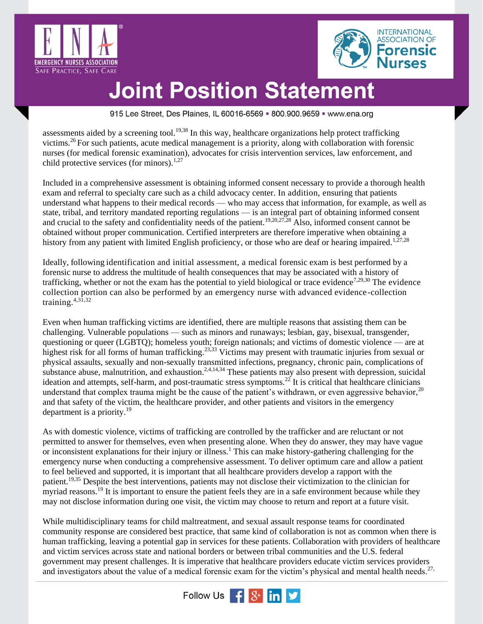



915 Lee Street, Des Plaines, IL 60016-6569 = 800.900.9659 = www.ena.org

assessments aided by a screening tool.<sup>19,38</sup> In this way, healthcare organizations help protect trafficking victims.<sup>26</sup> For such patients, acute medical management is a priority, along with collaboration with forensic nurses (for medical forensic examination), advocates for crisis intervention services, law enforcement, and child protective services (for minors). $1,27$ 

Included in a comprehensive assessment is obtaining informed consent necessary to provide a thorough health exam and referral to specialty care such as a child advocacy center. In addition, ensuring that patients understand what happens to their medical records — who may access that information, for example, as well as state, tribal, and territory mandated reporting regulations — is an integral part of obtaining informed consent and crucial to the safety and confidentiality needs of the patient.<sup>19,20,27,28</sup> Also, informed consent cannot be obtained without proper communication. Certified interpreters are therefore imperative when obtaining a history from any patient with limited English proficiency, or those who are deaf or hearing impaired.<sup>1,27,28</sup>

Ideally, following identification and initial assessment, a medical forensic exam is best performed by a forensic nurse to address the multitude of health consequences that may be associated with a history of trafficking, whether or not the exam has the potential to yield biological or trace evidence<sup>7,29,30</sup> The evidence collection portion can also be performed by an emergency nurse with advanced evidence-collection training. $4,3\overline{1},32$ 

Even when human trafficking victims are identified, there are multiple reasons that assisting them can be challenging. Vulnerable populations — such as minors and runaways; lesbian, gay, bisexual, transgender, questioning or queer (LGBTQ); homeless youth; foreign nationals; and victims of domestic violence — are at highest risk for all forms of human trafficking.<sup>23,33</sup> Victims may present with traumatic injuries from sexual or physical assaults, sexually and non-sexually transmitted infections, pregnancy, chronic pain, complications of substance abuse, malnutrition, and exhaustion.<sup>2,4,14,34</sup> These patients may also present with depression, suicidal ideation and attempts, self-harm, and post-traumatic stress symptoms.<sup>22</sup> It is critical that healthcare clinicians understand that complex trauma might be the cause of the patient's withdrawn, or even aggressive behavior, $^{20}$ and that safety of the victim, the healthcare provider, and other patients and visitors in the emergency department is a priority.<sup>19</sup>

As with domestic violence, victims of trafficking are controlled by the trafficker and are reluctant or not permitted to answer for themselves, even when presenting alone. When they do answer, they may have vague or inconsistent explanations for their injury or illness.<sup>1</sup> This can make history-gathering challenging for the emergency nurse when conducting a comprehensive assessment. To deliver optimum care and allow a patient to feel believed and supported, it is important that all healthcare providers develop a rapport with the patient.19,35 Despite the best interventions, patients may not disclose their victimization to the clinician for myriad reasons.<sup>19</sup> It is important to ensure the patient feels they are in a safe environment because while they may not disclose information during one visit, the victim may choose to return and report at a future visit.

While multidisciplinary teams for child maltreatment, and sexual assault response teams for coordinated community response are considered best practice, that same kind of collaboration is not as common when there is human trafficking, leaving a potential gap in services for these patients. Collaboration with providers of healthcare and victim services across state and national borders or between tribal communities and the U.S. federal government may present challenges. It is imperative that healthcare providers educate victim services providers and investigators about the value of a medical forensic exam for the victim's physical and mental health needs.<sup>27,</sup>

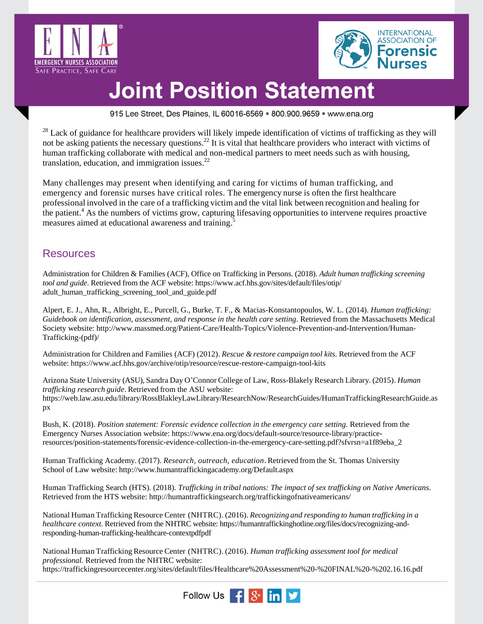



915 Lee Street, Des Plaines, IL 60016-6569 = 800.900.9659 = www.ena.org

 $28$  Lack of guidance for healthcare providers will likely impede identification of victims of trafficking as they will not be asking patients the necessary questions.<sup>22</sup> It is vital that healthcare providers who interact with victims of human trafficking collaborate with medical and non-medical partners to meet needs such as with housing, translation, education, and immigration issues. $22$ 

Many challenges may present when identifying and caring for victims of human trafficking, and emergency and forensic nurses have critical roles. The emergency nurse is often the first healthcare professional involved in the care of a trafficking victim and the vital link between recognition and healing for the patient.<sup>4</sup> As the numbers of victims grow, capturing lifesaving opportunities to intervene requires proactive measures aimed at educational awareness and training.<sup>5</sup>

#### Resources

Administration for Children & Families (ACF), Office on Trafficking in Persons. (2018). *Adult human trafficking screening tool and guide*. Retrieved from the ACF website: [https://www.acf.hhs.gov/sites/default/files/otip/](https://www.acf.hhs.gov/sites/default/files/otip/‌adult_human_trafficking_screening_tool_and_guide.pdf) [adult\\_human\\_trafficking\\_screening\\_tool\\_and\\_guide.pdf](https://www.acf.hhs.gov/sites/default/files/otip/‌adult_human_trafficking_screening_tool_and_guide.pdf)

Alpert, E. J., Ahn, R., Albright, E., Purcell, G., Burke, T. F., & Macias-Konstantopoulos, W. L. (2014). *Human trafficking: Guidebook on identification, assessment, and response in the health care setting*. Retrieved from the Massachusetts Medical Society website: [http://www.massmed.org/Patient-Care/Health-Topics/Violence-Prevention-and-Intervention/Human-](http://www.massmed.org/Patient-Care/Health-Topics/Violence-Prevention-and-Intervention/Human-Trafficking-(pdf)/)[Trafficking-\(pdf\)/](http://www.massmed.org/Patient-Care/Health-Topics/Violence-Prevention-and-Intervention/Human-Trafficking-(pdf)/)

Administration for Children and Families (ACF) (2012). *Rescue & restore campaign tool kits*. Retrieved from the ACF website:<https://www.acf.hhs.gov/archive/otip/resource/rescue-restore-campaign-tool-kits>

Arizona State University (ASU), Sandra Day O'Connor College of Law, Ross-Blakely Research Library. (2015). *Human trafficking research guide*. Retrieved from the ASU website: https://web.law.asu.edu/library/RossBlakleyLawLibrary/ResearchNow/ResearchGuides/HumanTraffickingResearchGuide.as px

Bush, K. (2018). *Position statement: Forensic evidence collection in the emergency care setting*. Retrieved from the Emergency Nurses Association website: [https://www.ena.org/docs/default-source/resource-library/practice](https://www.ena.org/docs/default-source/resource-library/practice-resources/position-statements/forensic-evidence-collection-in-the-emergency-care-setting.pdf?sfvrsn=a1f89eba_2)[resources/position-statements/forensic-evidence-collection-in-the-emergency-care-setting.pdf?sfvrsn=a1f89eba\\_2](https://www.ena.org/docs/default-source/resource-library/practice-resources/position-statements/forensic-evidence-collection-in-the-emergency-care-setting.pdf?sfvrsn=a1f89eba_2)

Human Trafficking Academy. (2017). *Research, outreach, education*. Retrieved from the St. Thomas University School of Law website: <http://www.humantraffickingacademy.org/Default.aspx>

Human Trafficking Search (HTS). (2018). *Trafficking in tribal nations: The impact of sex trafficking on Native Americans*. Retrieved from the HTS website:<http://humantraffickingsearch.org/traffickingofnativeamericans/>

National Human Trafficking Resource Center (NHTRC). (2016). *Recognizing and responding to human trafficking in a healthcare context.* Retrieved from the NHTRC website: https://humantraffickinghotline.org/files/docs/recognizing-andresponding-human-trafficking-healthcare-contextpdfpdf

National Human Trafficking Resource Center (NHTRC). (2016). *Human trafficking assessment tool for medical professional.* Retrieved from the NHTRC website: <https://traffickingresourcecenter.org/sites/default/files/Healthcare%20Assessment%20-%20FINAL%20-%202.16.16.pdf>

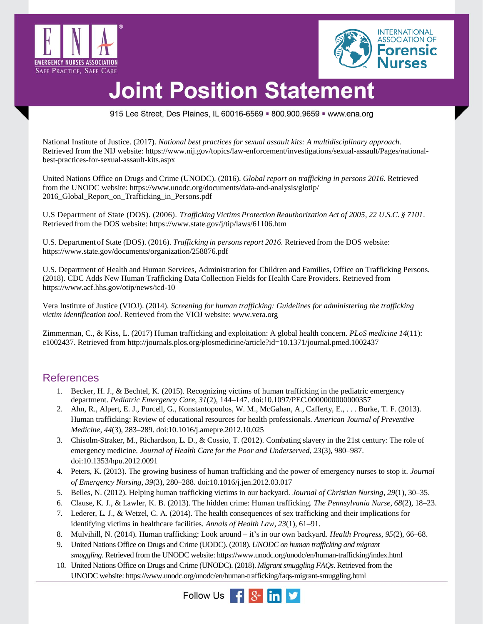



915 Lee Street, Des Plaines, IL 60016-6569 = 800.900.9659 = www.ena.org

National Institute of Justice. (2017). *National best practices for sexual assault kits: A multidisciplinary approach.*  Retrieved from the NIJ website: [https://www.nij.gov/topics/law-enforcement/investigations/sexual-assault/Pages/national](https://www.nij.gov/topics/law-enforcement/investigations/sexual-assault/Pages/‌national-best-practices-for-sexual-assault-kits.aspx)[best-practices-for-sexual-assault-kits.aspx](https://www.nij.gov/topics/law-enforcement/investigations/sexual-assault/Pages/‌national-best-practices-for-sexual-assault-kits.aspx)

United Nations Office on Drugs and Crime (UNODC). (2016). *Global report on trafficking in persons 2016.* Retrieved from the UNODC website[: https://www.unodc.org/documents/data-and-analysis/glotip/](https://www.unodc.org/documents/data-and-analysis/glotip/2016_Global_Report_on_Trafficking_in_Persons.pdf) [2016\\_Global\\_Report\\_on\\_Trafficking\\_in\\_Persons.pdf](https://www.unodc.org/documents/data-and-analysis/glotip/2016_Global_Report_on_Trafficking_in_Persons.pdf)

U.S Department of State (DOS). (2006). *TraffickingVictims Protection Reauthorization Act of 2005, 22 U.S.C. § 7101*. Retrieved from the DOS website:<https://www.state.gov/j/tip/laws/61106.htm>

U.S. Department of State (DOS). (2016). *Trafficking in personsreport 2016.* Retrieved from the DOS website: <https://www.state.gov/documents/organization/258876.pdf>

U.S. Department of Health and Human Services, Administration for Children and Families, Office on Trafficking Persons. (2018). CDC Adds New Human Trafficking Data Collection Fields for Health Care Providers. Retrieved from https://www.acf.hhs.gov/otip/news/icd-10

Vera Institute of Justice (VIOJ). (2014). *Screening for human trafficking: Guidelines for administering the trafficking victim identification tool*. Retrieved from the VIOJ website: [www.vera.org](http://www.vera.org/)

Zimmerman, C., & Kiss, L. (2017) Human trafficking and exploitation: A global health concern. *PLoS medicine 14*(11): e1002437. Retrieved from<http://journals.plos.org/plosmedicine/article?id=10.1371/journal.pmed.1002437>

#### References

- 1. Becker, H. J., & Bechtel, K. (2015). Recognizing victims of human trafficking in the pediatric emergency department. *Pediatric Emergency Care, 31*(2), 144–147. doi:10.1097/PEC.0000000000000357
- 2. Ahn, R., Alpert, E. J., Purcell, G., Konstantopoulos, W. M., McGahan, A., Cafferty, E., . . . Burke, T. F. (2013). Human trafficking: Review of educational resources for health professionals. *American Journal of Preventive Medicine*, *44*(3), 283–289. doi:10.1016/j.amepre.2012.10.025
- 3. Chisolm-Straker, M., Richardson, L. D., & Cossio, T. (2012). Combating slavery in the 21st century: The role of emergency medicine. *Journal of Health Care for the Poor and Underserved, 23*(3), 980–987. doi:10.1353/hpu.2012.0091
- 4. Peters, K. (2013). The growing business of human trafficking and the power of emergency nurses to stop it. *Journal of Emergency Nursing, 39*(3), 280–288. doi:10.1016/j.jen.2012.03.017
- 5. Belles, N. (2012). Helping human trafficking victims in our backyard. *Journal of Christian Nursing, 29*(1), 30–35.
- 6. Clause, K. J., & Lawler, K. B. (2013). The hidden crime: Human trafficking. *The Pennsylvania Nurse, 68*(2), 18–23.
- 7. Lederer, L. J., & Wetzel, C. A. (2014). The health consequences of sex trafficking and their implications for identifying victims in healthcare facilities. *Annals of Health Law*, *23*(1), 61–91.
- 8. Mulvihill, N. (2014). Human trafficking: Look around it's in our own backyard. *Health Progress, 95*(2), 66–68.
- 9. United Nations Office on Drugs and Crime (UODC). (2018). *UNODC on human trafficking and migrant smuggling*. Retrieved from the UNODC website[: https://www.unodc.org/unodc/en/human-trafficking/index.html](https://www.unodc.org/unodc/en/human-trafficking/index.html)
- 10. United Nations Office on Drugs and Crime (UNODC). (2018). *Migrant smuggling FAQs*. Retrieved from the UNODC website[: https://www.unodc.org/unodc/en/human-trafficking/faqs-migrant-smuggling.html](https://www.unodc.org/unodc/en/human-trafficking/faqs-migrant-smuggling.html)

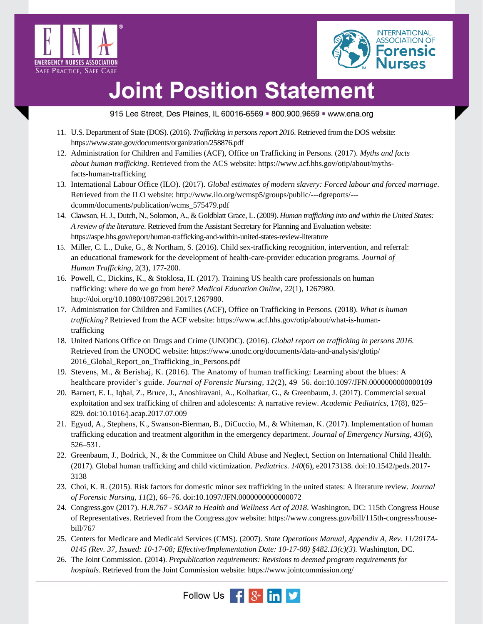



915 Lee Street, Des Plaines, IL 60016-6569 = 800.900.9659 = www.ena.org

- 11. U.S. Department of State (DOS). (2016). *Trafficking in persons report 2016*. Retrieved from the DOS website: <https://www.state.gov/documents/organization/258876.pdf>
- 12. Administration for Children and Families (ACF), Office on Trafficking in Persons. (2017). *Myths and facts about human trafficking*. Retrieved from the ACS website: [https://www.acf.hhs.gov/otip/about/myths](https://www.acf.hhs.gov/otip/about/myths-facts-human-trafficking)[facts-human-trafficking](https://www.acf.hhs.gov/otip/about/myths-facts-human-trafficking)
- 13. International Labour Office (ILO). (2017). *Global estimates of modern slavery: Forced labour and forced marriage*. Retrieved from the ILO website: [http://www.ilo.org/wcmsp5/groups/public/---dgreports/--](http://www.ilo.org/wcmsp5/groups/public/---dgreports/---dcomm/documents/publication/wcms_575479.pdf) [dcomm/documents/publication/wcms\\_575479.pdf](http://www.ilo.org/wcmsp5/groups/public/---dgreports/---dcomm/documents/publication/wcms_575479.pdf)
- 14. Clawson, H. J., Dutch, N., Solomon, A., & Goldblatt Grace, L. (2009). *Human trafficking into and within the United States: A review of the literature*. Retrieved from the Assistant Secretary for Planning and Evaluation website: https://aspe.hhs.gov/report/human-trafficking-and-within-united-states-review-literature
- 15. Miller, C. L., Duke, G., & Northam, S. (2016). Child sex-trafficking recognition, intervention, and referral: an educational framework for the development of health-care-provider education programs. *Journal of Human Trafficking*, 2(3), 177-200.
- 16. Powell, C., Dickins, K., & Stoklosa, H. (2017). Training US health care professionals on human trafficking: where do we go from here? *Medical Education Online*, *22*(1), 1267980. [http://doi.org/10.1080/10872981.2017.1267980.](http://doi.org/10.1080/10872981.2017.1267980)
- 17. Administration for Children and Families (ACF), Office on Trafficking in Persons. (2018). *What is human trafficking?* Retrieved from the ACF website: [https://www.acf.hhs.gov/otip/about/what-is-human](https://www.acf.hhs.gov/otip/about/what-is-human-trafficking)[trafficking](https://www.acf.hhs.gov/otip/about/what-is-human-trafficking)
- 18. United Nations Office on Drugs and Crime (UNODC). (2016). *Global report on trafficking in persons 2016.* Retrieved from the UNODC website: [https://www.unodc.org/documents/data-and-analysis/glotip/](https://www.unodc.org/documents/data-and-analysis/glotip/2016_Global_Report_on_Trafficking_in_Persons.pdf) [2016\\_Global\\_Report\\_on\\_Trafficking\\_in\\_Persons.pdf](https://www.unodc.org/documents/data-and-analysis/glotip/2016_Global_Report_on_Trafficking_in_Persons.pdf)
- 19. Stevens, M., & Berishaj, K. (2016). The Anatomy of human trafficking: Learning about the blues: A healthcare provider's guide. *Journal of Forensic Nursing, 12*(2), 49–56. doi:10.1097/JFN.0000000000000109
- 20. Barnert, E. I., Iqbal, Z., Bruce, J., Anoshiravani, A., Kolhatkar, G., & Greenbaum, J. (2017). Commercial sexual exploitation and sex trafficking of chilren and adolescents: A narrative review. *Academic Pediatrics*, 17(8), 825– 829. doi:10.1016/j.acap.2017.07.009
- 21. Egyud, A., Stephens, K., Swanson-Bierman, B., DiCuccio, M., & Whiteman, K. (2017). Implementation of human trafficking education and treatment algorithm in the emergency department. *Journal of Emergency Nursing, 43*(6), 526–531.
- 22. Greenbaum, J., Bodrick, N., & the Committee on Child Abuse and Neglect, Section on International Child Health. (2017). Global human trafficking and child victimization. *Pediatrics*. *140*(6), e20173138. doi[:10.1542/peds.2017-](https://doi.org/10.1542/peds.2017-3138) [3138](https://doi.org/10.1542/peds.2017-3138)
- 23. Choi, K. R. (2015). Risk factors for domestic minor sex trafficking in the united states: A literature review. *Journal of Forensic Nursing, 11*(2), 66–76. doi:10.1097/JFN.0000000000000072
- 24. Congress.gov (2017). *H.R.767 - SOAR to Health and Wellness Act of 2018*. Washington, DC: 115th Congress House of Representatives. Retrieved from the Congress.gov website: [https://www.congress.gov/bill/115th-congress/house](https://www.congress.gov/bill/115th-congress/house-bill/767)[bill/767](https://www.congress.gov/bill/115th-congress/house-bill/767)
- 25. Centers for Medicare and Medicaid Services (CMS). (2007). *State Operations Manual, Appendix A, Rev. 11/2017A-0145 (Rev. 37, Issued: 10-17-08; Effective/Implementation Date: 10-17-08) §482.13(c)(3).* Washington, DC.
- 26. The Joint Commission. (2014). *Prepublication requirements: Revisions to deemed program requirements for hospitals*. Retrieved from the Joint Commission website[: https://www.jointcommission.org/](https://www.jointcommission.org/‌assets/1/6/HAP_Burden_Reduction_Aug2014.pdf)

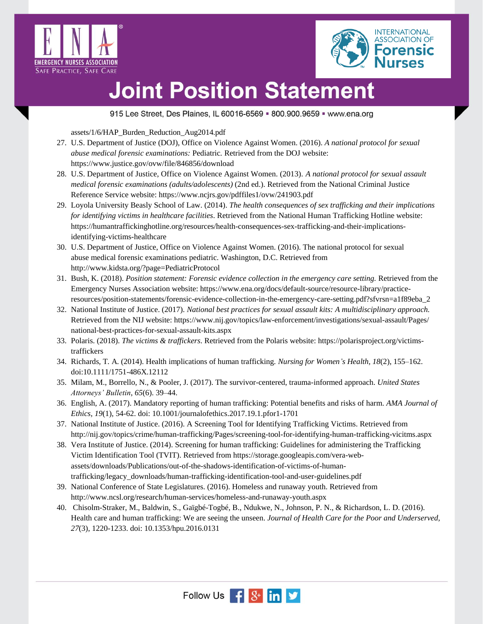



915 Lee Street, Des Plaines, IL 60016-6569 = 800.900.9659 = www.ena.org

[assets/1/6/HAP\\_Burden\\_Reduction\\_Aug2014.pdf](https://www.jointcommission.org/‌assets/1/6/HAP_Burden_Reduction_Aug2014.pdf)

- 27. U.S. Department of Justice (DOJ), Office on Violence Against Women. (2016). *A national protocol for sexual abuse medical forensic examinations:* Pediatric*.* Retrieved from the DOJ website: <https://www.justice.gov/ovw/file/846856/download>
- 28. U.S. Department of Justice, Office on Violence Against Women. (2013). *A national protocol for sexual assault medical forensic examinations (adults/adolescents)* (2nd ed.). Retrieved from the National Criminal Justice Reference Service website:<https://www.ncjrs.gov/pdffiles1/ovw/241903.pdf>
- 29. Loyola University Beasly School of Law. (2014). *The health consequences of sex trafficking and their implications for identifying victims in healthcare facilities*. Retrieved from the National Human Trafficking Hotline website: [https://humantraffickinghotline.org/resources/health-consequences-sex-trafficking-and-their-implications](https://humantraffickinghotline.org/resources/health-consequences-sex-trafficking-and-their-implications-identifying-victims-healthcare)[identifying-victims-healthcare](https://humantraffickinghotline.org/resources/health-consequences-sex-trafficking-and-their-implications-identifying-victims-healthcare)
- 30. U.S. Department of Justice, Office on Violence Against Women. (2016). The national protocol for sexual abuse medical forensic examinations pediatric. Washington, D.C. Retrieved from <http://www.kidsta.org/?page=PediatricProtocol>
- 31. Bush, K. (2018). *Position statement: Forensic evidence collection in the emergency care setting.* Retrieved from the Emergency Nurses Association website: [https://www.ena.org/docs/default-source/resource-library/practice](https://www.ena.org/docs/default-source/resource-library/practice-resources/position-statements/forensic-evidence-collection-in-the-emergency-care-setting.pdf?sfvrsn=a1f89eba_2)[resources/position-statements/forensic-evidence-collection-in-the-emergency-care-setting.pdf?sfvrsn=a1f89eba\\_2](https://www.ena.org/docs/default-source/resource-library/practice-resources/position-statements/forensic-evidence-collection-in-the-emergency-care-setting.pdf?sfvrsn=a1f89eba_2)
- 32. National Institute of Justice. (2017). *National best practices for sexual assault kits: A multidisciplinary approach.* Retrieved from the NIJ website: [https://www.nij.gov/topics/law-enforcement/investigations/sexual-assault/Pages/](https://www.nij.gov/topics/law-enforcement/investigations/sexual-assault/Pages/‌national-best-practices-for-sexual-assault-kits.aspx) [national-best-practices-for-sexual-assault-kits.aspx](https://www.nij.gov/topics/law-enforcement/investigations/sexual-assault/Pages/‌national-best-practices-for-sexual-assault-kits.aspx)
- 33. Polaris. (2018). *The victims & traffickers*. Retrieved from the Polaris website: [https://polarisproject.org/victims](https://polarisproject.org/victims-traffickers)[traffickers](https://polarisproject.org/victims-traffickers)
- 34. Richards, T. A. (2014). Health implications of human trafficking. *Nursing for Women's Health, 18*(2), 155–162. doi:10.1111/1751-486X.12112
- 35. Milam, M., Borrello, N., & Pooler, J. (2017). The survivor-centered, trauma-informed approach. *United States Attorneys' Bulletin*, *65*(6). 39–44.
- 36. English, A. (2017). Mandatory reporting of human trafficking: Potential benefits and risks of harm. *AMA Journal of Ethics, 19*(1), 54-62. doi: 10.1001/journalofethics.2017.19.1.pfor1-1701
- 37. National Institute of Justice. (2016). A Screening Tool for Identifying Trafficking Victims. Retrieved from <http://nij.gov/topics/crime/human-trafficking/Pages/screening-tool-for-identifying-human-trafficking-vicitms.aspx>
- 38. Vera Institute of Justice. (2014). Screening for human trafficking: Guidelines for administering the Trafficking Victim Identification Tool (TVIT). Retrieved from [https://storage.googleapis.com/vera-web](https://storage.googleapis.com/vera-web-assets/downloads/Publications/out-of-the-shadows-identification-of-victims-of-human-trafficking/legacy_downloads/human-trafficking-identification-tool-and-user-guidelines.pdf)[assets/downloads/Publications/out-of-the-shadows-identification-of-victims-of-human](https://storage.googleapis.com/vera-web-assets/downloads/Publications/out-of-the-shadows-identification-of-victims-of-human-trafficking/legacy_downloads/human-trafficking-identification-tool-and-user-guidelines.pdf)[trafficking/legacy\\_downloads/human-trafficking-identification-tool-and-user-guidelines.pdf](https://storage.googleapis.com/vera-web-assets/downloads/Publications/out-of-the-shadows-identification-of-victims-of-human-trafficking/legacy_downloads/human-trafficking-identification-tool-and-user-guidelines.pdf)
- 39. National Conference of State Legislatures. (2016). Homeless and runaway youth. Retrieved from <http://www.ncsl.org/research/human-services/homeless-and-runaway-youth.aspx>
- 40. Chisolm-Straker, M., Baldwin, S., Gaïgbé-Togbé, B., Ndukwe, N., Johnson, P. N., & Richardson, L. D. (2016). Health care and human trafficking: We are seeing the unseen. *Journal of Health Care for the Poor and Underserved, 27*(3), 1220-1233. doi: 10.1353/hpu.2016.0131